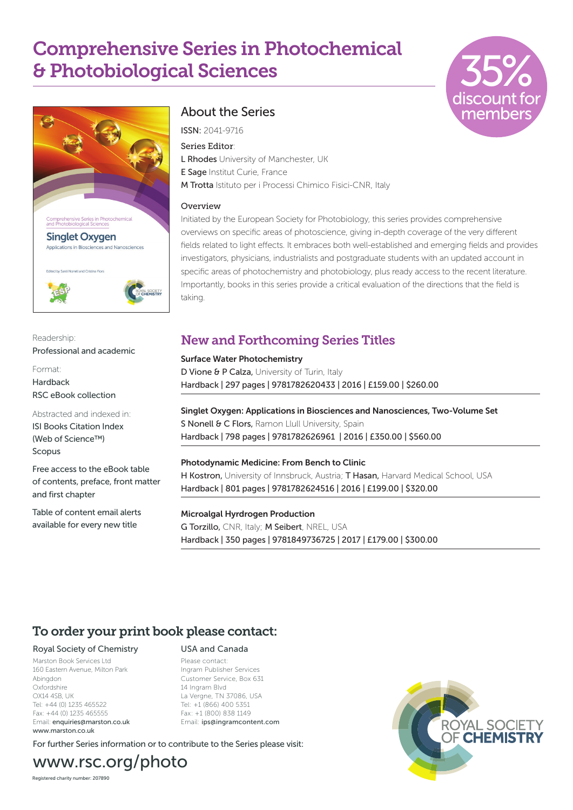# Comprehensive Series in Photochemical & Photobiological Sciences





Readership: Professional and academic

Format: **Hardback** RSC eBook collection

Abstracted and indexed in:

ISI Books Citation Index (Web of Science™) Scopus

Free access to the eBook table of contents, preface, front matter and first chapter

Table of content email alerts available for every new title

## About the Series

ISSN: 2041-9716 Series Editor: L Rhodes University of Manchester, UK E Sage Institut Curie, France M Trotta Istituto per i Processi Chimico Fisici-CNR, Italy

#### Overview

Initiated by the European Society for Photobiology, this series provides comprehensive overviews on specific areas of photoscience, giving in-depth coverage of the very different fields related to light effects. It embraces both well-established and emerging fields and provides investigators, physicians, industrialists and postgraduate students with an updated account in specific areas of photochemistry and photobiology, plus ready access to the recent literature. Importantly, books in this series provide a critical evaluation of the directions that the field is taking.

## New and Forthcoming Series Titles

Surface Water Photochemistry D Vione & P Calza, University of Turin, Italy Hardback | 297 pages | 9781782620433 | 2016 | £159.00 | \$260.00

Singlet Oxygen: Applications in Biosciences and Nanosciences, Two-Volume Set S Nonell & C Flors, Ramon Llull University, Spain Hardback | 798 pages | 9781782626961 | 2016 | £350.00 | \$560.00

#### Photodynamic Medicine: From Bench to Clinic

H Kostron, University of Innsbruck, Austria; T Hasan, Harvard Medical School, USA Hardback | 801 pages | 9781782624516 | 2016 | £199.00 | \$320.00

### Microalgal Hyrdrogen Production

G Torzillo, CNR, Italy; M Seibert, NREL, USA Hardback | 350 pages | 9781849736725 | 2017 | £179.00 | \$300.00

## To order your print book please contact:

#### Royal Society of Chemistry

Marston Book Services Ltd 160 Eastern Avenue, Milton Park Abingdon Oxfordshire OX14 4SB, UK Tel: +44 (0) 1235 465522 Fax: +44 (0) 1235 465555 Email: enquiries@marston.co.uk www.marston.co.uk

## USA and Canada

Please contact: Ingram Publisher Services Customer Service, Box 631 14 Ingram Blvd La Vergne, TN 37086, USA Tel: +1 (866) 400 5351 Fax: +1 (800) 838 1149 Email: ips@ingramcontent.com

For further Series information or to contribute to the Series please visit:



Registered charity number: 207890